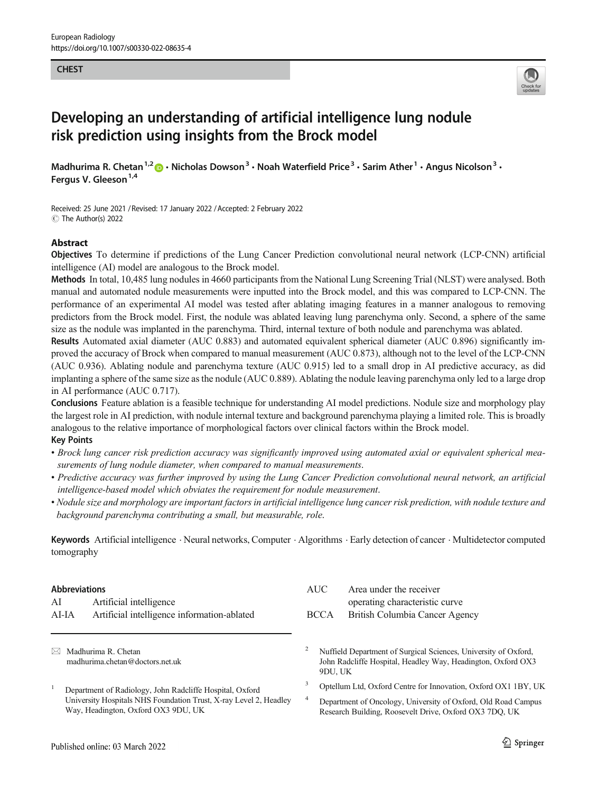#### **CHEST**



# Developing an understanding of artificial intelligence lung nodule risk prediction using insights from the Brock model

Madhurima R. Chetan<sup>1,2</sup>  $\cdot$  Nicholas Dowson<sup>3</sup>  $\cdot$  Noah Waterfield Price<sup>3</sup>  $\cdot$  Sarim Ather<sup>1</sup>  $\cdot$  Angus Nicolson<sup>3</sup>  $\cdot$ Fergus V. Gleeson<sup>1,4</sup>

Received: 25 June 2021 / Revised: 17 January 2022 /Accepted: 2 February 2022 C The Author(s) 2022

#### Abstract

Objectives To determine if predictions of the Lung Cancer Prediction convolutional neural network (LCP-CNN) artificial intelligence (AI) model are analogous to the Brock model.

Methods In total, 10,485 lung nodules in 4660 participants from the National Lung Screening Trial (NLST) were analysed. Both manual and automated nodule measurements were inputted into the Brock model, and this was compared to LCP-CNN. The performance of an experimental AI model was tested after ablating imaging features in a manner analogous to removing predictors from the Brock model. First, the nodule was ablated leaving lung parenchyma only. Second, a sphere of the same size as the nodule was implanted in the parenchyma. Third, internal texture of both nodule and parenchyma was ablated.

Results Automated axial diameter (AUC 0.883) and automated equivalent spherical diameter (AUC 0.896) significantly improved the accuracy of Brock when compared to manual measurement (AUC 0.873), although not to the level of the LCP-CNN (AUC 0.936). Ablating nodule and parenchyma texture (AUC 0.915) led to a small drop in AI predictive accuracy, as did implanting a sphere of the same size as the nodule (AUC 0.889). Ablating the nodule leaving parenchyma only led to a large drop in AI performance (AUC 0.717).

Conclusions Feature ablation is a feasible technique for understanding AI model predictions. Nodule size and morphology play the largest role in AI prediction, with nodule internal texture and background parenchyma playing a limited role. This is broadly analogous to the relative importance of morphological factors over clinical factors within the Brock model. Key Points

- Brock lung cancer risk prediction accuracy was significantly improved using automated axial or equivalent spherical measurements of lung nodule diameter, when compared to manual measurements.
- Predictive accuracy was further improved by using the Lung Cancer Prediction convolutional neural network, an artificial intelligence-based model which obviates the requirement for nodule measurement.
- Nodule size and morphology are important factors in artificial intelligence lung cancer risk prediction, with nodule texture and background parenchyma contributing a small, but measurable, role.

Keywords Artificial intelligence . Neural networks, Computer . Algorithms . Early detection of cancer . Multidetector computed tomography

## Abbreviations

| AI    | Artificial intelligence                     |
|-------|---------------------------------------------|
| AI-IA | Artificial intelligence information-ablated |

 $\boxtimes$  Madhurima R. Chetan [madhurima.chetan@doctors.net.uk](mailto:madhurima.chetan@doctors.net.uk)

<sup>1</sup> Department of Radiology, John Radcliffe Hospital, Oxford University Hospitals NHS Foundation Trust, X-ray Level 2, Headley Way, Headington, Oxford OX3 9DU, UK

| AUC -       | Area under the receiver        |  |  |
|-------------|--------------------------------|--|--|
|             | operating characteristic curve |  |  |
| <b>BCCA</b> | British Columbia Cancer Agency |  |  |

<sup>2</sup> Nuffield Department of Surgical Sciences, University of Oxford, John Radcliffe Hospital, Headley Way, Headington, Oxford OX3 9DU, UK

<sup>3</sup> Optellum Ltd, Oxford Centre for Innovation, Oxford OX1 1BY, UK

<sup>4</sup> Department of Oncology, University of Oxford, Old Road Campus Research Building, Roosevelt Drive, Oxford OX3 7DQ, UK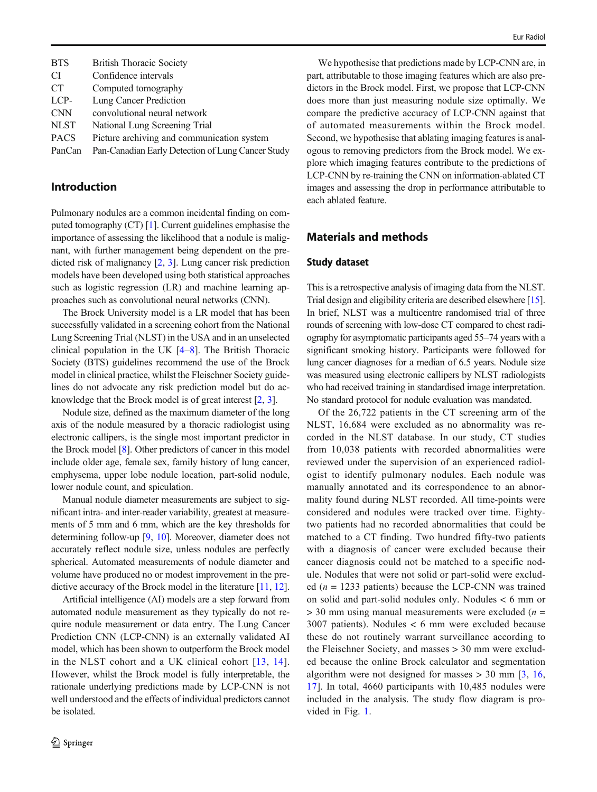| <b>BTS</b>  | <b>British Thoracic Society</b>                   |
|-------------|---------------------------------------------------|
| CI.         | Confidence intervals                              |
| <b>CT</b>   | Computed tomography                               |
| LCP-        | Lung Cancer Prediction                            |
| <b>CNN</b>  | convolutional neural network                      |
| <b>NLST</b> | National Lung Screening Trial                     |
| <b>PACS</b> | Picture archiving and communication system        |
| PanCan      | Pan-Canadian Early Detection of Lung Cancer Study |

# Introduction

Pulmonary nodules are a common incidental finding on computed tomography (CT) [\[1](#page-7-0)]. Current guidelines emphasise the importance of assessing the likelihood that a nodule is malignant, with further management being dependent on the predicted risk of malignancy [\[2](#page-7-0), [3](#page-7-0)]. Lung cancer risk prediction models have been developed using both statistical approaches such as logistic regression (LR) and machine learning approaches such as convolutional neural networks (CNN).

The Brock University model is a LR model that has been successfully validated in a screening cohort from the National Lung Screening Trial (NLST) in the USA and in an unselected clinical population in the UK [\[4](#page-7-0)–[8](#page-7-0)]. The British Thoracic Society (BTS) guidelines recommend the use of the Brock model in clinical practice, whilst the Fleischner Society guidelines do not advocate any risk prediction model but do acknowledge that the Brock model is of great interest [[2,](#page-7-0) [3\]](#page-7-0).

Nodule size, defined as the maximum diameter of the long axis of the nodule measured by a thoracic radiologist using electronic callipers, is the single most important predictor in the Brock model [[8](#page-7-0)]. Other predictors of cancer in this model include older age, female sex, family history of lung cancer, emphysema, upper lobe nodule location, part-solid nodule, lower nodule count, and spiculation.

Manual nodule diameter measurements are subject to significant intra- and inter-reader variability, greatest at measurements of 5 mm and 6 mm, which are the key thresholds for determining follow-up [\[9](#page-7-0), [10\]](#page-7-0). Moreover, diameter does not accurately reflect nodule size, unless nodules are perfectly spherical. Automated measurements of nodule diameter and volume have produced no or modest improvement in the predictive accuracy of the Brock model in the literature [\[11,](#page-7-0) [12\]](#page-7-0).

Artificial intelligence (AI) models are a step forward from automated nodule measurement as they typically do not require nodule measurement or data entry. The Lung Cancer Prediction CNN (LCP-CNN) is an externally validated AI model, which has been shown to outperform the Brock model in the NLST cohort and a UK clinical cohort [[13](#page-7-0), [14](#page-7-0)]. However, whilst the Brock model is fully interpretable, the rationale underlying predictions made by LCP-CNN is not well understood and the effects of individual predictors cannot be isolated.

We hypothesise that predictions made by LCP-CNN are, in part, attributable to those imaging features which are also predictors in the Brock model. First, we propose that LCP-CNN does more than just measuring nodule size optimally. We compare the predictive accuracy of LCP-CNN against that of automated measurements within the Brock model. Second, we hypothesise that ablating imaging features is analogous to removing predictors from the Brock model. We explore which imaging features contribute to the predictions of LCP-CNN by re-training the CNN on information-ablated CT images and assessing the drop in performance attributable to each ablated feature.

# Materials and methods

## Study dataset

This is a retrospective analysis of imaging data from the NLST. Trial design and eligibility criteria are described elsewhere [\[15\]](#page-7-0). In brief, NLST was a multicentre randomised trial of three rounds of screening with low-dose CT compared to chest radiography for asymptomatic participants aged 55–74 years with a significant smoking history. Participants were followed for lung cancer diagnoses for a median of 6.5 years. Nodule size was measured using electronic callipers by NLST radiologists who had received training in standardised image interpretation. No standard protocol for nodule evaluation was mandated.

Of the 26,722 patients in the CT screening arm of the NLST, 16,684 were excluded as no abnormality was recorded in the NLST database. In our study, CT studies from 10,038 patients with recorded abnormalities were reviewed under the supervision of an experienced radiologist to identify pulmonary nodules. Each nodule was manually annotated and its correspondence to an abnormality found during NLST recorded. All time-points were considered and nodules were tracked over time. Eightytwo patients had no recorded abnormalities that could be matched to a CT finding. Two hundred fifty-two patients with a diagnosis of cancer were excluded because their cancer diagnosis could not be matched to a specific nodule. Nodules that were not solid or part-solid were excluded ( $n = 1233$  patients) because the LCP-CNN was trained on solid and part-solid nodules only. Nodules < 6 mm or  $>$  30 mm using manual measurements were excluded ( $n =$ 3007 patients). Nodules < 6 mm were excluded because these do not routinely warrant surveillance according to the Fleischner Society, and masses > 30 mm were excluded because the online Brock calculator and segmentation algorithm were not designed for masses  $> 30$  mm  $\left[3, 16, \right]$  $\left[3, 16, \right]$  $\left[3, 16, \right]$  $\left[3, 16, \right]$  $\left[3, 16, \right]$ [17](#page-7-0)]. In total, 4660 participants with 10,485 nodules were included in the analysis. The study flow diagram is provided in Fig. [1](#page-2-0).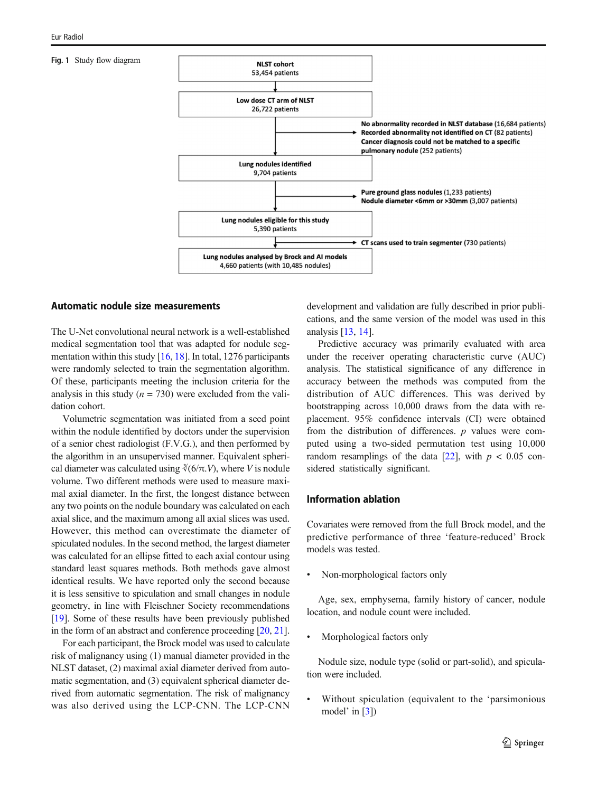#### <span id="page-2-0"></span>Fig. 1 Study flow diagram



## Automatic nodule size measurements

The U-Net convolutional neural network is a well-established medical segmentation tool that was adapted for nodule segmentation within this study [\[16,](#page-7-0) [18](#page-7-0)]. In total, 1276 participants were randomly selected to train the segmentation algorithm. Of these, participants meeting the inclusion criteria for the analysis in this study ( $n = 730$ ) were excluded from the validation cohort.

Volumetric segmentation was initiated from a seed point within the nodule identified by doctors under the supervision of a senior chest radiologist (F.V.G.), and then performed by the algorithm in an unsupervised manner. Equivalent spherical diameter was calculated using  $\sqrt[3]{(6/\pi \cdot V)}$ , where V is nodule volume. Two different methods were used to measure maximal axial diameter. In the first, the longest distance between any two points on the nodule boundary was calculated on each axial slice, and the maximum among all axial slices was used. However, this method can overestimate the diameter of spiculated nodules. In the second method, the largest diameter was calculated for an ellipse fitted to each axial contour using standard least squares methods. Both methods gave almost identical results. We have reported only the second because it is less sensitive to spiculation and small changes in nodule geometry, in line with Fleischner Society recommendations [\[19\]](#page-7-0). Some of these results have been previously published in the form of an abstract and conference proceeding [\[20](#page-7-0), [21\]](#page-7-0).

For each participant, the Brock model was used to calculate risk of malignancy using (1) manual diameter provided in the NLST dataset, (2) maximal axial diameter derived from automatic segmentation, and (3) equivalent spherical diameter derived from automatic segmentation. The risk of malignancy was also derived using the LCP-CNN. The LCP-CNN development and validation are fully described in prior publications, and the same version of the model was used in this analysis [\[13,](#page-7-0) [14\]](#page-7-0).

Predictive accuracy was primarily evaluated with area under the receiver operating characteristic curve (AUC) analysis. The statistical significance of any difference in accuracy between the methods was computed from the distribution of AUC differences. This was derived by bootstrapping across 10,000 draws from the data with replacement. 95% confidence intervals (CI) were obtained from the distribution of differences.  $p$  values were computed using a two-sided permutation test using 10,000 random resamplings of the data  $[22]$ , with  $p < 0.05$  considered statistically significant.

## Information ablation

Covariates were removed from the full Brock model, and the predictive performance of three 'feature-reduced' Brock models was tested.

Non-morphological factors only

Age, sex, emphysema, family history of cancer, nodule location, and nodule count were included.

Morphological factors only

Nodule size, nodule type (solid or part-solid), and spiculation were included.

Without spiculation (equivalent to the 'parsimonious model' in [\[3](#page-7-0)])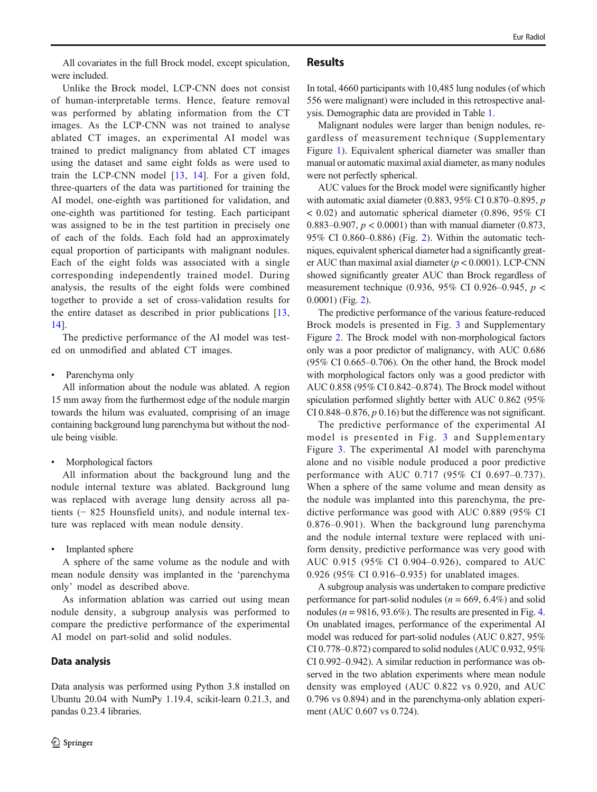All covariates in the full Brock model, except spiculation, were included.

Unlike the Brock model, LCP-CNN does not consist of human-interpretable terms. Hence, feature removal was performed by ablating information from the CT images. As the LCP-CNN was not trained to analyse ablated CT images, an experimental AI model was trained to predict malignancy from ablated CT images using the dataset and same eight folds as were used to train the LCP-CNN model [\[13,](#page-7-0) [14\]](#page-7-0). For a given fold, three-quarters of the data was partitioned for training the AI model, one-eighth was partitioned for validation, and one-eighth was partitioned for testing. Each participant was assigned to be in the test partition in precisely one of each of the folds. Each fold had an approximately equal proportion of participants with malignant nodules. Each of the eight folds was associated with a single corresponding independently trained model. During analysis, the results of the eight folds were combined together to provide a set of cross-validation results for the entire dataset as described in prior publications [\[13,](#page-7-0) [14](#page-7-0)].

The predictive performance of the AI model was tested on unmodified and ablated CT images.

• Parenchyma only

All information about the nodule was ablated. A region 15 mm away from the furthermost edge of the nodule margin towards the hilum was evaluated, comprising of an image containing background lung parenchyma but without the nodule being visible.

Morphological factors

All information about the background lung and the nodule internal texture was ablated. Background lung was replaced with average lung density across all patients (− 825 Hounsfield units), and nodule internal texture was replaced with mean nodule density.

Implanted sphere

A sphere of the same volume as the nodule and with mean nodule density was implanted in the 'parenchyma only' model as described above.

As information ablation was carried out using mean nodule density, a subgroup analysis was performed to compare the predictive performance of the experimental AI model on part-solid and solid nodules.

## Data analysis

Data analysis was performed using Python 3.8 installed on Ubuntu 20.04 with NumPy 1.19.4, scikit-learn 0.21.3, and pandas 0.23.4 libraries.

#### Results

In total, 4660 participants with 10,485 lung nodules (of which 556 were malignant) were included in this retrospective analysis. Demographic data are provided in Table [1.](#page-4-0)

Malignant nodules were larger than benign nodules, regardless of measurement technique (Supplementary Figure 1). Equivalent spherical diameter was smaller than manual or automatic maximal axial diameter, as many nodules were not perfectly spherical.

AUC values for the Brock model were significantly higher with automatic axial diameter (0.883, 95% CI 0.870–0.895,  $p$ < 0.02) and automatic spherical diameter (0.896, 95% CI 0.883–0.907,  $p < 0.0001$ ) than with manual diameter (0.873, 95% CI 0.860–0.886) (Fig. [2\)](#page-4-0). Within the automatic techniques, equivalent spherical diameter had a significantly greater AUC than maximal axial diameter ( $p < 0.0001$ ). LCP-CNN showed significantly greater AUC than Brock regardless of measurement technique (0.936, 95% CI 0.926–0.945, p < 0.0001) (Fig. [2\)](#page-4-0).

The predictive performance of the various feature-reduced Brock models is presented in Fig. [3](#page-4-0) and Supplementary Figure 2. The Brock model with non-morphological factors only was a poor predictor of malignancy, with AUC 0.686 (95% CI 0.665–0.706). On the other hand, the Brock model with morphological factors only was a good predictor with AUC 0.858 (95% CI 0.842–0.874). The Brock model without spiculation performed slightly better with AUC 0.862 (95% CI 0.848–0.876,  $p$  0.16) but the difference was not significant.

The predictive performance of the experimental AI model is presented in Fig. [3](#page-4-0) and Supplementary Figure 3. The experimental AI model with parenchyma alone and no visible nodule produced a poor predictive performance with AUC 0.717 (95% CI 0.697–0.737). When a sphere of the same volume and mean density as the nodule was implanted into this parenchyma, the predictive performance was good with AUC 0.889 (95% CI 0.876–0.901). When the background lung parenchyma and the nodule internal texture were replaced with uniform density, predictive performance was very good with AUC 0.915 (95% CI 0.904–0.926), compared to AUC 0.926 (95% CI 0.916–0.935) for unablated images.

A subgroup analysis was undertaken to compare predictive performance for part-solid nodules ( $n = 669, 6.4\%$ ) and solid nodules ( $n = 9816, 93.6\%$ ). The results are presented in Fig. [4.](#page-5-0) On unablated images, performance of the experimental AI model was reduced for part-solid nodules (AUC 0.827, 95% CI 0.778–0.872) compared to solid nodules (AUC 0.932, 95% CI 0.992–0.942). A similar reduction in performance was observed in the two ablation experiments where mean nodule density was employed (AUC 0.822 vs 0.920, and AUC 0.796 vs 0.894) and in the parenchyma-only ablation experiment (AUC 0.607 vs 0.724).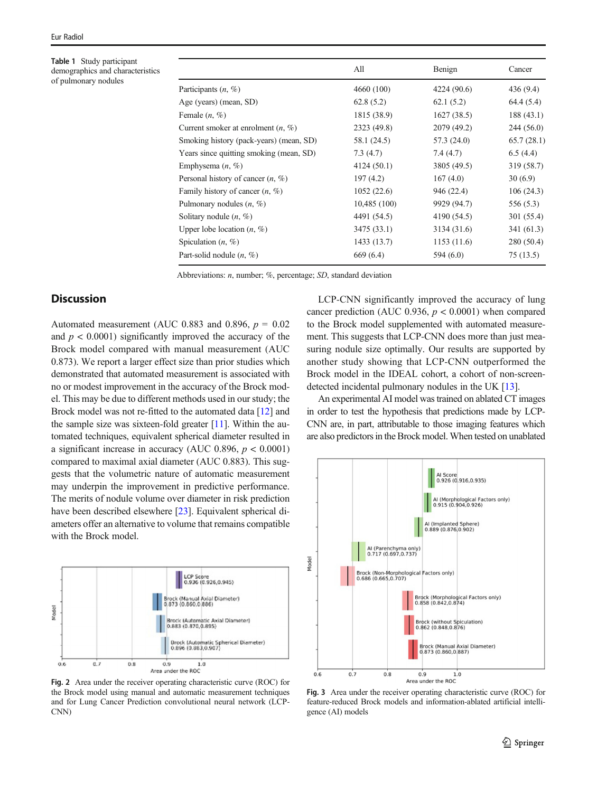<span id="page-4-0"></span>Table 1 Study participant demographics and characteristics of pulmonary nodules

|                                         | All          | Benign      | Cancer     |
|-----------------------------------------|--------------|-------------|------------|
| Participants $(n, \%)$                  | 4660 (100)   | 4224 (90.6) | 436 (9.4)  |
| Age (years) (mean, SD)                  | 62.8(5.2)    | 62.1(5.2)   | 64.4 (5.4) |
| Female $(n, \%)$                        | 1815 (38.9)  | 1627(38.5)  | 188 (43.1) |
| Current smoker at enrolment $(n, \%)$   | 2323 (49.8)  | 2079 (49.2) | 244 (56.0) |
| Smoking history (pack-years) (mean, SD) | 58.1 (24.5)  | 57.3 (24.0) | 65.7(28.1) |
| Years since quitting smoking (mean, SD) | 7.3(4.7)     | 7.4(4.7)    | 6.5(4.4)   |
| Emphysema $(n, \%)$                     | 4124 (50.1)  | 3805 (49.5) | 319 (58.7) |
| Personal history of cancer $(n, \%)$    | 197(4.2)     | 167(4.0)    | 30(6.9)    |
| Family history of cancer $(n, \%)$      | 1052(22.6)   | 946 (22.4)  | 106(24.3)  |
| Pulmonary nodules $(n, \%)$             | 10,485 (100) | 9929 (94.7) | 556 (5.3)  |
| Solitary nodule $(n, \%)$               | 4491 (54.5)  | 4190 (54.5) | 301 (55.4) |
| Upper lobe location $(n, \%)$           | 3475 (33.1)  | 3134 (31.6) | 341 (61.3) |
| Spiculation $(n, \%)$                   | 1433(13.7)   | 1153 (11.6) | 280 (50.4) |
| Part-solid nodule $(n, \%)$             | 669 (6.4)    | 594 (6.0)   | 75 (13.5)  |
|                                         |              |             |            |

Abbreviations: n, number; %, percentage; SD, standard deviation

# **Discussion**

Automated measurement (AUC 0.883 and 0.896,  $p = 0.02$ ) and  $p < 0.0001$ ) significantly improved the accuracy of the Brock model compared with manual measurement (AUC 0.873). We report a larger effect size than prior studies which demonstrated that automated measurement is associated with no or modest improvement in the accuracy of the Brock model. This may be due to different methods used in our study; the Brock model was not re-fitted to the automated data [\[12](#page-7-0)] and the sample size was sixteen-fold greater  $[11]$  $[11]$ . Within the automated techniques, equivalent spherical diameter resulted in a significant increase in accuracy (AUC 0.896,  $p < 0.0001$ ) compared to maximal axial diameter (AUC 0.883). This suggests that the volumetric nature of automatic measurement may underpin the improvement in predictive performance. The merits of nodule volume over diameter in risk prediction have been described elsewhere [[23\]](#page-7-0). Equivalent spherical diameters offer an alternative to volume that remains compatible with the Brock model.



Fig. 2 Area under the receiver operating characteristic curve (ROC) for the Brock model using manual and automatic measurement techniques and for Lung Cancer Prediction convolutional neural network (LCP-CNN)

LCP-CNN significantly improved the accuracy of lung cancer prediction (AUC 0.936,  $p < 0.0001$ ) when compared to the Brock model supplemented with automated measurement. This suggests that LCP-CNN does more than just measuring nodule size optimally. Our results are supported by another study showing that LCP-CNN outperformed the Brock model in the IDEAL cohort, a cohort of non-screendetected incidental pulmonary nodules in the UK [[13](#page-7-0)].

An experimental AI model was trained on ablated CT images in order to test the hypothesis that predictions made by LCP-CNN are, in part, attributable to those imaging features which are also predictors in the Brock model. When tested on unablated



Fig. 3 Area under the receiver operating characteristic curve (ROC) for feature-reduced Brock models and information-ablated artificial intelligence (AI) models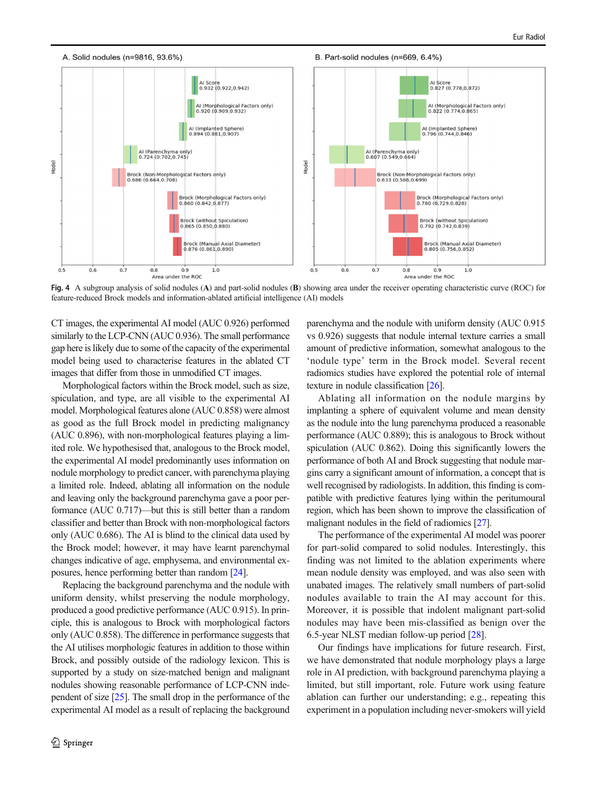<span id="page-5-0"></span>

Fig. 4 A subgroup analysis of solid nodules (A) and part-solid nodules (B) showing area under the receiver operating characteristic curve (ROC) for feature-reduced Brock models and information-ablated artificial intelligence (AI) models

CT images, the experimental AI model (AUC 0.926) performed similarly to the LCP-CNN (AUC 0.936). The small performance gap here is likely due to some of the capacity of the experimental model being used to characterise features in the ablated CT images that differ from those in unmodified CT images.

Morphological factors within the Brock model, such as size, spiculation, and type, are all visible to the experimental AI model. Morphological features alone (AUC 0.858) were almost as good as the full Brock model in predicting malignancy (AUC 0.896), with non-morphological features playing a limited role. We hypothesised that, analogous to the Brock model, the experimental AI model predominantly uses information on nodule morphology to predict cancer, with parenchyma playing a limited role. Indeed, ablating all information on the nodule and leaving only the background parenchyma gave a poor performance (AUC 0.717)—but this is still better than a random classifier and better than Brock with non-morphological factors only (AUC 0.686). The AI is blind to the clinical data used by the Brock model; however, it may have learnt parenchymal changes indicative of age, emphysema, and environmental exposures, hence performing better than random [[24](#page-7-0)].

Replacing the background parenchyma and the nodule with uniform density, whilst preserving the nodule morphology, produced a good predictive performance (AUC 0.915). In principle, this is analogous to Brock with morphological factors only (AUC 0.858). The difference in performance suggests that the AI utilises morphologic features in addition to those within Brock, and possibly outside of the radiology lexicon. This is supported by a study on size-matched benign and malignant nodules showing reasonable performance of LCP-CNN independent of size [\[25](#page-7-0)]. The small drop in the performance of the experimental AI model as a result of replacing the background parenchyma and the nodule with uniform density (AUC 0.915 vs 0.926) suggests that nodule internal texture carries a small amount of predictive information, somewhat analogous to the 'nodule type' term in the Brock model. Several recent radiomics studies have explored the potential role of internal texture in nodule classification [[26](#page-8-0)].

Ablating all information on the nodule margins by implanting a sphere of equivalent volume and mean density as the nodule into the lung parenchyma produced a reasonable performance (AUC 0.889); this is analogous to Brock without spiculation (AUC 0.862). Doing this significantly lowers the performance of both AI and Brock suggesting that nodule margins carry a significant amount of information, a concept that is well recognised by radiologists. In addition, this finding is compatible with predictive features lying within the peritumoural region, which has been shown to improve the classification of malignant nodules in the field of radiomics [\[27](#page-8-0)].

The performance of the experimental AI model was poorer for part-solid compared to solid nodules. Interestingly, this finding was not limited to the ablation experiments where mean nodule density was employed, and was also seen with unabated images. The relatively small numbers of part-solid nodules available to train the AI may account for this. Moreover, it is possible that indolent malignant part-solid nodules may have been mis-classified as benign over the 6.5-year NLST median follow-up period [\[28\]](#page-8-0).

Our findings have implications for future research. First, we have demonstrated that nodule morphology plays a large role in AI prediction, with background parenchyma playing a limited, but still important, role. Future work using feature ablation can further our understanding; e.g., repeating this experiment in a population including never-smokers will yield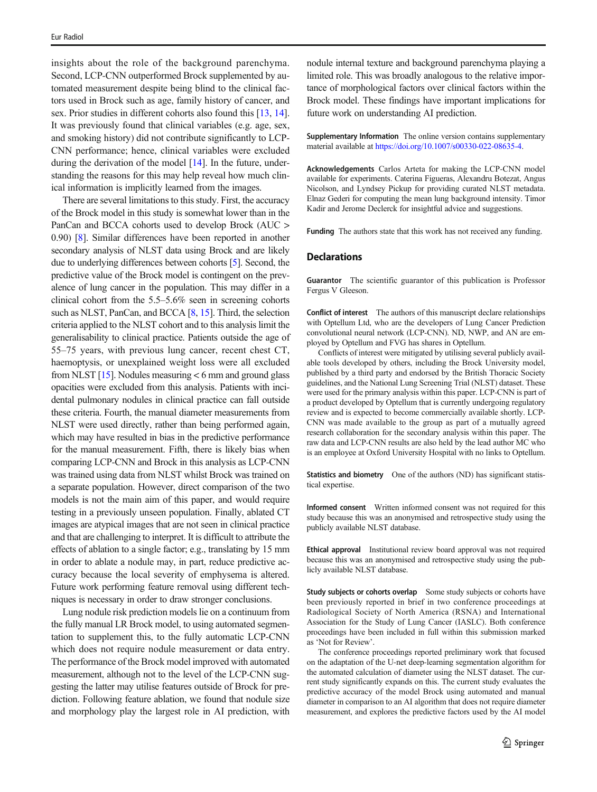insights about the role of the background parenchyma. Second, LCP-CNN outperformed Brock supplemented by automated measurement despite being blind to the clinical factors used in Brock such as age, family history of cancer, and sex. Prior studies in different cohorts also found this [\[13,](#page-7-0) [14\]](#page-7-0). It was previously found that clinical variables (e.g. age, sex, and smoking history) did not contribute significantly to LCP-CNN performance; hence, clinical variables were excluded during the derivation of the model [[14\]](#page-7-0). In the future, understanding the reasons for this may help reveal how much clinical information is implicitly learned from the images.

There are several limitations to this study. First, the accuracy of the Brock model in this study is somewhat lower than in the PanCan and BCCA cohorts used to develop Brock (AUC > 0.90) [\[8\]](#page-7-0). Similar differences have been reported in another secondary analysis of NLST data using Brock and are likely due to underlying differences between cohorts [\[5\]](#page-7-0). Second, the predictive value of the Brock model is contingent on the prevalence of lung cancer in the population. This may differ in a clinical cohort from the 5.5–5.6% seen in screening cohorts such as NLST, PanCan, and BCCA [\[8](#page-7-0), [15](#page-7-0)]. Third, the selection criteria applied to the NLST cohort and to this analysis limit the generalisability to clinical practice. Patients outside the age of 55–75 years, with previous lung cancer, recent chest CT, haemoptysis, or unexplained weight loss were all excluded from NLST  $[15]$  $[15]$  $[15]$ . Nodules measuring  $<$  6 mm and ground glass opacities were excluded from this analysis. Patients with incidental pulmonary nodules in clinical practice can fall outside these criteria. Fourth, the manual diameter measurements from NLST were used directly, rather than being performed again, which may have resulted in bias in the predictive performance for the manual measurement. Fifth, there is likely bias when comparing LCP-CNN and Brock in this analysis as LCP-CNN was trained using data from NLST whilst Brock was trained on a separate population. However, direct comparison of the two models is not the main aim of this paper, and would require testing in a previously unseen population. Finally, ablated CT images are atypical images that are not seen in clinical practice and that are challenging to interpret. It is difficult to attribute the effects of ablation to a single factor; e.g., translating by 15 mm in order to ablate a nodule may, in part, reduce predictive accuracy because the local severity of emphysema is altered. Future work performing feature removal using different techniques is necessary in order to draw stronger conclusions.

Lung nodule risk prediction models lie on a continuum from the fully manual LR Brock model, to using automated segmentation to supplement this, to the fully automatic LCP-CNN which does not require nodule measurement or data entry. The performance of the Brock model improved with automated measurement, although not to the level of the LCP-CNN suggesting the latter may utilise features outside of Brock for prediction. Following feature ablation, we found that nodule size and morphology play the largest role in AI prediction, with nodule internal texture and background parenchyma playing a limited role. This was broadly analogous to the relative importance of morphological factors over clinical factors within the Brock model. These findings have important implications for future work on understanding AI prediction.

Supplementary Information The online version contains supplementary material available at [https://doi.org/10.1007/s00330-022-08635-4.](https://doi.org/10.1007/s00330-022-08635-4)

Acknowledgements Carlos Arteta for making the LCP-CNN model available for experiments. Caterina Figueras, Alexandru Botezat, Angus Nicolson, and Lyndsey Pickup for providing curated NLST metadata. Elnaz Gederi for computing the mean lung background intensity. Timor Kadir and Jerome Declerck for insightful advice and suggestions.

Funding The authors state that this work has not received any funding.

# **Declarations**

Guarantor The scientific guarantor of this publication is Professor Fergus V Gleeson.

Conflict of interest The authors of this manuscript declare relationships with Optellum Ltd, who are the developers of Lung Cancer Prediction convolutional neural network (LCP-CNN). ND, NWP, and AN are employed by Optellum and FVG has shares in Optellum.

Conflicts of interest were mitigated by utilising several publicly available tools developed by others, including the Brock University model, published by a third party and endorsed by the British Thoracic Society guidelines, and the National Lung Screening Trial (NLST) dataset. These were used for the primary analysis within this paper. LCP-CNN is part of a product developed by Optellum that is currently undergoing regulatory review and is expected to become commercially available shortly. LCP-CNN was made available to the group as part of a mutually agreed research collaboration for the secondary analysis within this paper. The raw data and LCP-CNN results are also held by the lead author MC who is an employee at Oxford University Hospital with no links to Optellum.

Statistics and biometry One of the authors (ND) has significant statistical expertise.

Informed consent Written informed consent was not required for this study because this was an anonymised and retrospective study using the publicly available NLST database.

Ethical approval Institutional review board approval was not required because this was an anonymised and retrospective study using the publicly available NLST database.

Study subjects or cohorts overlap Some study subjects or cohorts have been previously reported in brief in two conference proceedings at Radiological Society of North America (RSNA) and International Association for the Study of Lung Cancer (IASLC). Both conference proceedings have been included in full within this submission marked as 'Not for Review'.

The conference proceedings reported preliminary work that focused on the adaptation of the U-net deep-learning segmentation algorithm for the automated calculation of diameter using the NLST dataset. The current study significantly expands on this. The current study evaluates the predictive accuracy of the model Brock using automated and manual diameter in comparison to an AI algorithm that does not require diameter measurement, and explores the predictive factors used by the AI model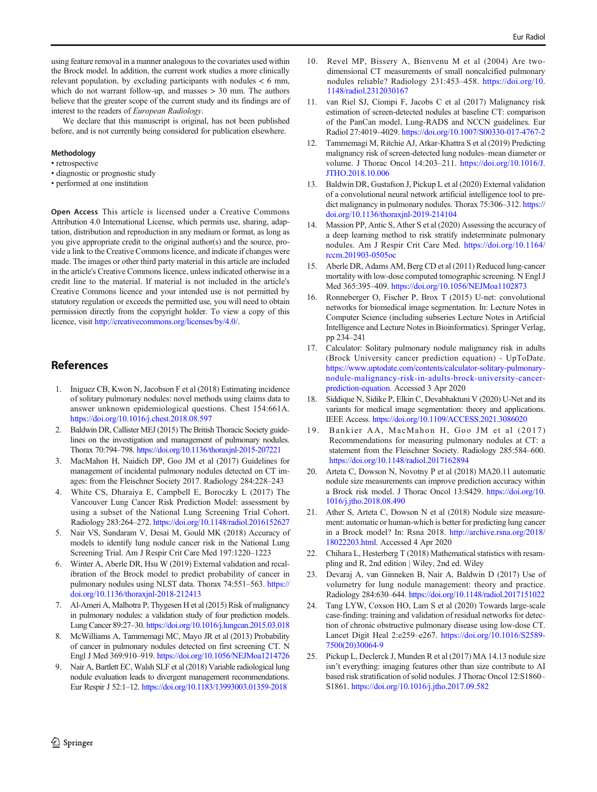<span id="page-7-0"></span>using feature removal in a manner analogous to the covariates used within the Brock model. In addition, the current work studies a more clinically relevant population, by excluding participants with nodules < 6 mm, which do not warrant follow-up, and masses > 30 mm. The authors believe that the greater scope of the current study and its findings are of interest to the readers of European Radiology.

We declare that this manuscript is original, has not been published before, and is not currently being considered for publication elsewhere.

#### Methodology

- retrospective
- diagnostic or prognostic study
- performed at one institution

Open Access This article is licensed under a Creative Commons Attribution 4.0 International License, which permits use, sharing, adaptation, distribution and reproduction in any medium or format, as long as you give appropriate credit to the original author(s) and the source, provide a link to the Creative Commons licence, and indicate if changes were made. The images or other third party material in this article are included in the article's Creative Commons licence, unless indicated otherwise in a credit line to the material. If material is not included in the article's Creative Commons licence and your intended use is not permitted by statutory regulation or exceeds the permitted use, you will need to obtain permission directly from the copyright holder. To view a copy of this licence, visit <http://creativecommons.org/licenses/by/4.0/>.

# **References**

- 1. Iniguez CB, Kwon N, Jacobson F et al (2018) Estimating incidence of solitary pulmonary nodules: novel methods using claims data to answer unknown epidemiological questions. Chest 154:661A. <https://doi.org/10.1016/j.chest.2018.08.597>
- 2. Baldwin DR, Callister MEJ (2015) The British Thoracic Society guidelines on the investigation and management of pulmonary nodules. Thorax 70:794–798. <https://doi.org/10.1136/thoraxjnl-2015-207221>
- 3. MacMahon H, Naidich DP, Goo JM et al (2017) Guidelines for management of incidental pulmonary nodules detected on CT images: from the Fleischner Society 2017. Radiology 284:228–243
- 4. White CS, Dharaiya E, Campbell E, Boroczky L (2017) The Vancouver Lung Cancer Risk Prediction Model: assessment by using a subset of the National Lung Screening Trial Cohort. Radiology 283:264–272. <https://doi.org/10.1148/radiol.2016152627>
- 5. Nair VS, Sundaram V, Desai M, Gould MK (2018) Accuracy of models to identify lung nodule cancer risk in the National Lung Screening Trial. Am J Respir Crit Care Med 197:1220–1223
- Winter A, Aberle DR, Hsu W (2019) External validation and recalibration of the Brock model to predict probability of cancer in pulmonary nodules using NLST data. Thorax 74:551–563. [https://](https://doi.org/10.1136/thoraxjnl-2018-212413) [doi.org/10.1136/thoraxjnl-2018-212413](https://doi.org/10.1136/thoraxjnl-2018-212413)
- 7. Al-Ameri A, Malhotra P, Thygesen H et al (2015) Risk of malignancy in pulmonary nodules: a validation study of four prediction models. Lung Cancer 89:27–30. <https://doi.org/10.1016/j.lungcan.2015.03.018>
- 8. McWilliams A, Tammemagi MC, Mayo JR et al (2013) Probability of cancer in pulmonary nodules detected on first screening CT. N Engl J Med 369:910–919. <https://doi.org/10.1056/NEJMoa1214726>
- 9. Nair A, Bartlett EC, Walsh SLF et al (2018) Variable radiological lung nodule evaluation leads to divergent management recommendations. Eur Respir J 52:1–12. <https://doi.org/10.1183/13993003.01359-2018>
- 10. Revel MP, Bissery A, Bienvenu M et al (2004) Are twodimensional CT measurements of small noncalcified pulmonary nodules reliable? Radiology 231:453–458. [https://doi.org/10.](https://doi.org/10.1148/radiol.2312030167) [1148/radiol.2312030167](https://doi.org/10.1148/radiol.2312030167)
- 11. van Riel SJ, Ciompi F, Jacobs C et al (2017) Malignancy risk estimation of screen-detected nodules at baseline CT: comparison of the PanCan model, Lung-RADS and NCCN guidelines. Eur Radiol 27:4019–4029. <https://doi.org/10.1007/S00330-017-4767-2>
- 12. Tammemagi M, Ritchie AJ, Atkar-Khattra S et al (2019) Predicting malignancy risk of screen-detected lung nodules–mean diameter or volume. J Thorac Oncol 14:203–211. [https://doi.org/10.1016/J.](https://doi.org/10.1016/J.JTHO.2018.10.006) [JTHO.2018.10.006](https://doi.org/10.1016/J.JTHO.2018.10.006)
- 13. Baldwin DR, Gustafson J, Pickup L et al (2020) External validation of a convolutional neural network artificial intelligence tool to predict malignancy in pulmonary nodules. Thorax 75:306-312. [https://](https://doi.org/10.1136/thoraxjnl-2019-214104) [doi.org/10.1136/thoraxjnl-2019-214104](https://doi.org/10.1136/thoraxjnl-2019-214104)
- 14. Massion PP, Antic S, Ather S et al (2020) Assessing the accuracy of a deep learning method to risk stratify indeterminate pulmonary nodules. Am J Respir Crit Care Med. [https://doi.org/10.1164/](https://doi.org/10.1164/rccm.201903-0505oc) [rccm.201903-0505oc](https://doi.org/10.1164/rccm.201903-0505oc)
- 15. Aberle DR, Adams AM, Berg CD et al (2011) Reduced lung-cancer mortality with low-dose computed tomographic screening. N Engl J Med 365:395–409. <https://doi.org/10.1056/NEJMoa1102873>
- 16. Ronneberger O, Fischer P, Brox T (2015) U-net: convolutional networks for biomedical image segmentation. In: Lecture Notes in Computer Science (including subseries Lecture Notes in Artificial Intelligence and Lecture Notes in Bioinformatics). Springer Verlag, pp 234–241
- 17. Calculator: Solitary pulmonary nodule malignancy risk in adults (Brock University cancer prediction equation) - UpToDate. [https://www.uptodate.com/contents/calculator-solitary-pulmonary](https://www.uptodate.com/contents/calculator-solitary-pulmonary-nodule-malignancy-risk-in-adults-brock-university-cancer-prediction-equation)[nodule-malignancy-risk-in-adults-brock-university-cancer](https://www.uptodate.com/contents/calculator-solitary-pulmonary-nodule-malignancy-risk-in-adults-brock-university-cancer-prediction-equation)[prediction-equation](https://www.uptodate.com/contents/calculator-solitary-pulmonary-nodule-malignancy-risk-in-adults-brock-university-cancer-prediction-equation). Accessed 3 Apr 2020
- 18. Siddique N, Sidike P, Elkin C, Devabhaktuni V (2020) U-Net and its variants for medical image segmentation: theory and applications. IEEE Access. <https://doi.org/10.1109/ACCESS.2021.3086020>
- 19. Bankier AA, MacMahon H, Goo JM et al (2017) Recommendations for measuring pulmonary nodules at CT: a statement from the Fleischner Society. Radiology 285:584–600. <https://doi.org/10.1148/radiol.2017162894>
- 20. Arteta C, Dowson N, Novotny P et al (2018) MA20.11 automatic nodule size measurements can improve prediction accuracy within a Brock risk model. J Thorac Oncol 13:S429. [https://doi.org/10.](https://doi.org/10.1016/j.jtho.2018.08.490) [1016/j.jtho.2018.08.490](https://doi.org/10.1016/j.jtho.2018.08.490)
- 21. Ather S, Arteta C, Dowson N et al (2018) Nodule size measurement: automatic or human-which is better for predicting lung cancer in a Brock model? In: Rsna 2018. [http://archive.rsna.org/2018/](http://archive.rsna.org/2018/18022203.html) [18022203.html](http://archive.rsna.org/2018/18022203.html). Accessed 4 Apr 2020
- 22. Chihara L, Hesterberg T (2018) Mathematical statistics with resampling and R, 2nd edition | Wiley, 2nd ed. Wiley
- 23. Devaraj A, van Ginneken B, Nair A, Baldwin D (2017) Use of volumetry for lung nodule management: theory and practice. Radiology 284:630–644. <https://doi.org/10.1148/radiol.2017151022>
- 24. Tang LYW, Coxson HO, Lam S et al (2020) Towards large-scale case-finding: training and validation of residual networks for detection of chronic obstructive pulmonary disease using low-dose CT. Lancet Digit Heal 2:e259–e267. [https://doi.org/10.1016/S2589-](https://doi.org/10.1016/S2589-7500(20)30064-9) [7500\(20\)30064-9](https://doi.org/10.1016/S2589-7500(20)30064-9)
- 25. Pickup L, Declerck J, Munden R et al (2017) MA 14.13 nodule size isn't everything: imaging features other than size contribute to AI based risk stratification of solid nodules. J Thorac Oncol 12:S1860– S1861. <https://doi.org/10.1016/j.jtho.2017.09.582>